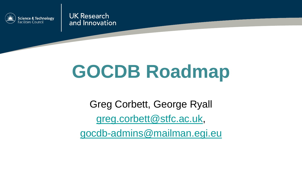

**UK Research** and Innovation

# **GOCDB Roadmap**

Greg Corbett, George Ryall [greg.corbett@stfc.ac.uk,](mailto:greg.corbett@stfc.ac.uk) [gocdb-admins@mailman.egi.eu](mailto:gocdb-admins@mailman.egi.eu)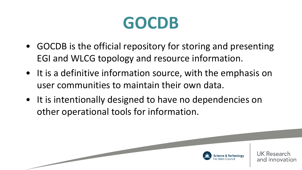#### **GOCDB**

- GOCDB is the official repository for storing and presenting EGI and WLCG topology and resource information.
- It is a definitive information source, with the emphasis on user communities to maintain their own data.
- It is intentionally designed to have no dependencies on other operational tools for information.



UK Researcl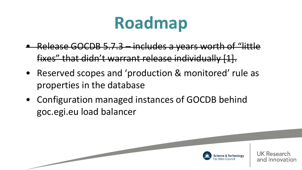## **Roadmap**

- Release GOCDB 5.7.3 includes a years worth of "little fixes" that didn't warrant release individually [1].
- Reserved scopes and 'production & monitored' rule as properties in the database
- Configuration managed instances of GOCDB behind goc.egi.eu load balancer

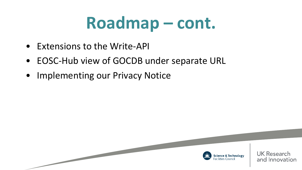### **Roadmap – cont.**

- Extensions to the Write-API
- EOSC-Hub view of GOCDB under separate URL
- Implementing our Privacy Notice

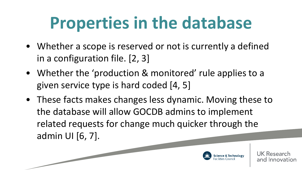## **Properties in the database**

- Whether a scope is reserved or not is currently a defined in a configuration file. [2, 3]
- Whether the 'production & monitored' rule applies to a given service type is hard coded [4, 5]
- These facts makes changes less dynamic. Moving these to the database will allow GOCDB admins to implement related requests for change much quicker through the admin UI [6, 7].

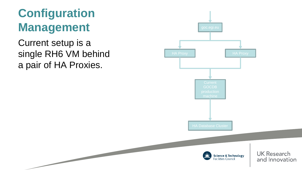#### **Configuration Management**

Current setup is a single RH6 VM behind a pair of HA Proxies.

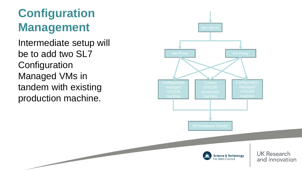#### **Configuration Management**

Intermediate setup will be to add two SL7 **Configuration** Managed VMs in tandem with existing production machine.

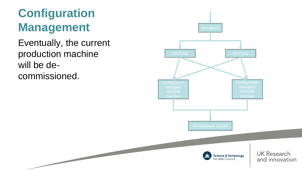#### **Configuration Management**

Eventually, the current production machine will be decommissioned.

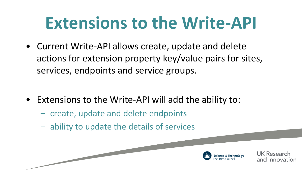## **Extensions to the Write-API**

• Current Write-API allows create, update and delete actions for extension property key/value pairs for sites, services, endpoints and service groups.

- Extensions to the Write-API will add the ability to:
	- create, update and delete endpoints
	- ability to update the details of services



Resea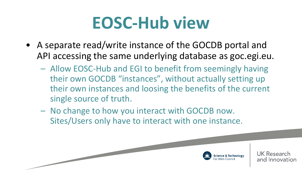### **EOSC-Hub view**

- A separate read/write instance of the GOCDB portal and API accessing the same underlying database as goc.egi.eu.
	- Allow EOSC-Hub and EGI to benefit from seemingly having their own GOCDB "instances", without actually setting up their own instances and loosing the benefits of the current single source of truth.
	- No change to how you interact with GOCDB now. Sites/Users only have to interact with one instance.

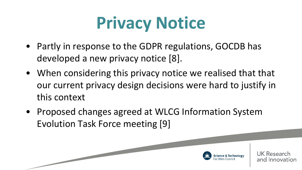## **Privacy Notice**

- Partly in response to the GDPR regulations, GOCDB has developed a new privacy notice [8].
- When considering this privacy notice we realised that that our current privacy design decisions were hard to justify in this context
- Proposed changes agreed at WLCG Information System Evolution Task Force meeting [9]

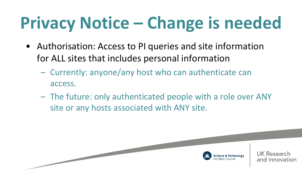# **Privacy Notice – Change is needed**

- Authorisation: Access to PI queries and site information for ALL sites that includes personal information
	- Currently: anyone/any host who can authenticate can access.

– The future: only authenticated people with a role over ANY site or any hosts associated with ANY site.

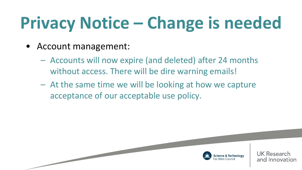# **Privacy Notice – Change is needed**

- Account management:
	- Accounts will now expire (and deleted) after 24 months without access. There will be dire warning emails!
	- At the same time we will be looking at how we capture acceptance of our acceptable use policy.

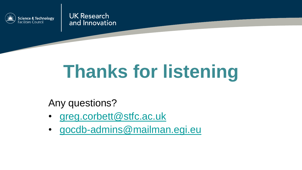

**UK Research** and Innovation

# **Thanks for listening**

Any questions?

- [greg.corbett@stfc.ac.uk](mailto:greg.Corbett@stfc.ac.uk)
- [gocdb-admins@mailman.egi.eu](mailto:gocdb-admins@mailman.egi.eu)